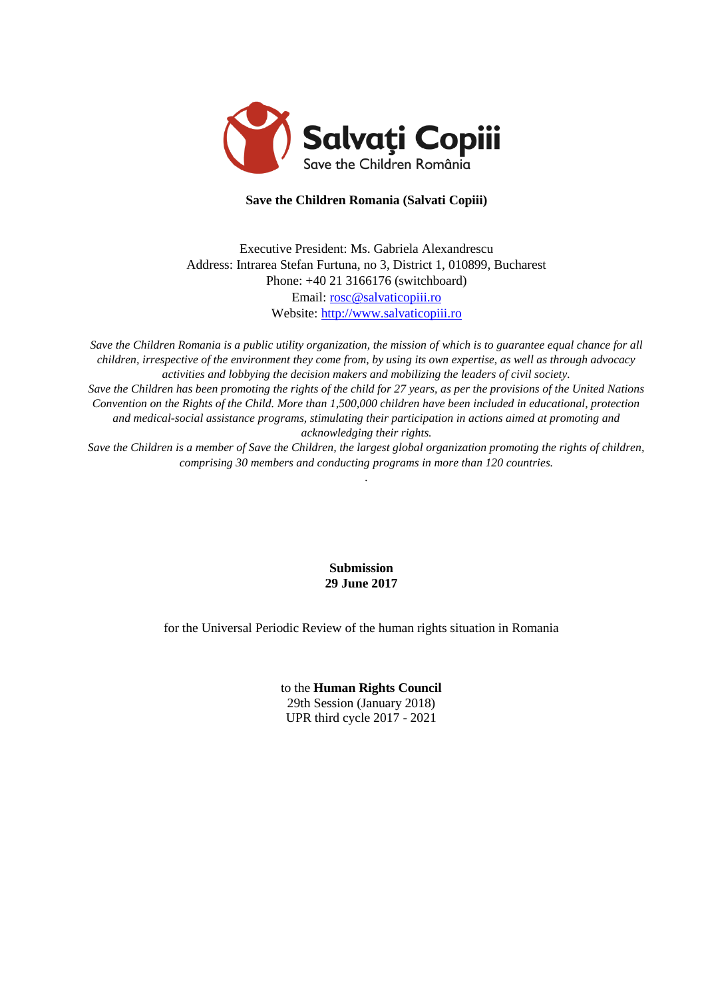

# **Save the Children Romania (Salvati Copiii)**

Executive President: Ms. Gabriela Alexandrescu Address: Intrarea Stefan Furtuna, no 3, District 1, 010899, Bucharest Phone: +40 21 3166176 (switchboard) Email: [rosc@salvaticopiii.ro](mailto:rosc@salvaticopiii.ro) Website: [http://www.salvaticopiii.ro](http://www.salvaticopiii.ro/)

*Save the Children Romania is a public utility organization, the mission of which is to guarantee equal chance for all children, irrespective of the environment they come from, by using its own expertise, as well as through advocacy activities and lobbying the decision makers and mobilizing the leaders of civil society. Save the Children has been promoting the rights of the child for 27 years, as per the provisions of the United Nations Convention on the Rights of the Child. More than 1,500,000 children have been included in educational, protection and medical-social assistance programs, stimulating their participation in actions aimed at promoting and acknowledging their rights.*

*Save the Children is a member of Save the Children, the largest global organization promoting the rights of children, comprising 30 members and conducting programs in more than 120 countries. .*

> **Submission 29 June 2017**

for the Universal Periodic Review of the human rights situation in Romania

to the **Human Rights Council** 29th Session (January 2018) UPR third cycle 2017 - 2021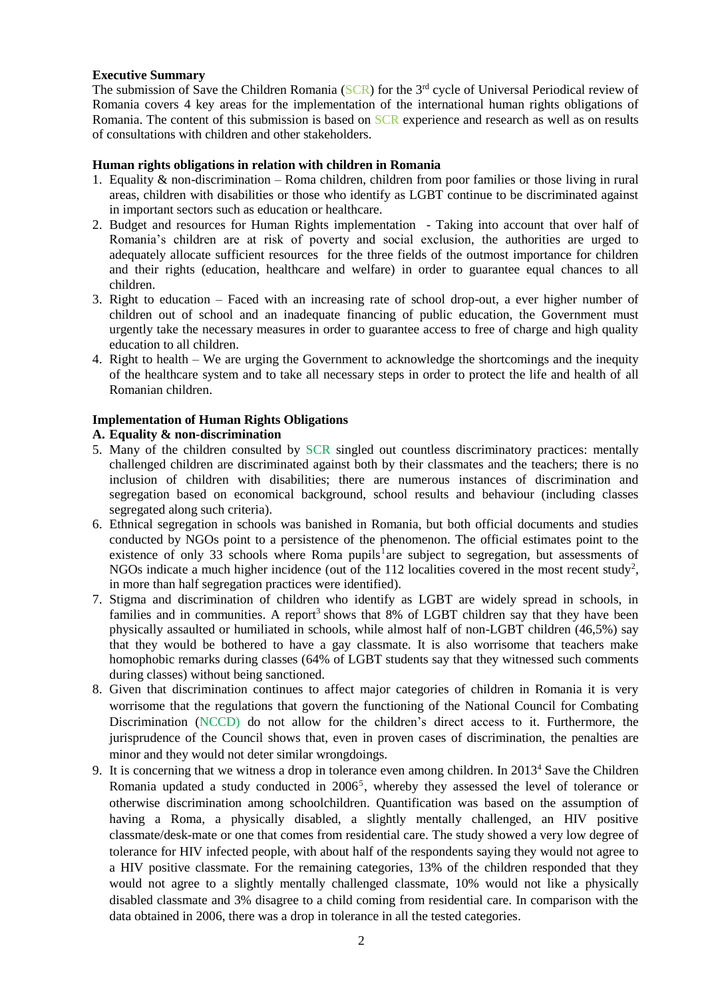### **Executive Summary**

The submission of Save the Children Romania (SCR) for the 3<sup>rd</sup> cycle of Universal Periodical review of Romania covers 4 key areas for the implementation of the international human rights obligations of Romania. The content of this submission is based on SCR experience and research as well as on results of consultations with children and other stakeholders.

### **Human rights obligations in relation with children in Romania**

- 1. Equality & non-discrimination Roma children, children from poor families or those living in rural areas, children with disabilities or those who identify as LGBT continue to be discriminated against in important sectors such as education or healthcare.
- 2. Budget and resources for Human Rights implementation Taking into account that over half of Romania's children are at risk of poverty and social exclusion, the authorities are urged to adequately allocate sufficient resources for the three fields of the outmost importance for children and their rights (education, healthcare and welfare) in order to guarantee equal chances to all children.
- 3. Right to education Faced with an increasing rate of school drop-out, a ever higher number of children out of school and an inadequate financing of public education, the Government must urgently take the necessary measures in order to guarantee access to free of charge and high quality education to all children.
- 4. Right to health We are urging the Government to acknowledge the shortcomings and the inequity of the healthcare system and to take all necessary steps in order to protect the life and health of all Romanian children.

### **Implementation of Human Rights Obligations**

### **A. Equality & non-discrimination**

- 5. Many of the children consulted by SCR singled out countless discriminatory practices: mentally challenged children are discriminated against both by their classmates and the teachers; there is no inclusion of children with disabilities; there are numerous instances of discrimination and segregation based on economical background, school results and behaviour (including classes segregated along such criteria).
- 6. Ethnical segregation in schools was banished in Romania, but both official documents and studies conducted by NGOs point to a persistence of the phenomenon. The official estimates point to the existence of only 33 schools where Roma pupils<sup>1</sup> are subject to segregation, but assessments of NGOs indicate a much higher incidence (out of the  $112$  localities covered in the most recent study<sup>2</sup>, in more than half segregation practices were identified).
- 7. Stigma and discrimination of children who identify as LGBT are widely spread in schools, in families and in communities. A report<sup>3</sup> shows that  $8\%$  of LGBT children say that they have been physically assaulted or humiliated in schools, while almost half of non-LGBT children (46,5%) say that they would be bothered to have a gay classmate. It is also worrisome that teachers make homophobic remarks during classes (64% of LGBT students say that they witnessed such comments during classes) without being sanctioned.
- 8. Given that discrimination continues to affect major categories of children in Romania it is very worrisome that the regulations that govern the functioning of the National Council for Combating Discrimination (NCCD) do not allow for the children's direct access to it. Furthermore, the jurisprudence of the Council shows that, even in proven cases of discrimination, the penalties are minor and they would not deter similar wrongdoings.
- 9. It is concerning that we witness a drop in tolerance even among children. In 2013<sup>4</sup> Save the Children Romania updated a study conducted in 2006<sup>5</sup>, whereby they assessed the level of tolerance or otherwise discrimination among schoolchildren. Quantification was based on the assumption of having a Roma, a physically disabled, a slightly mentally challenged, an HIV positive classmate/desk-mate or one that comes from residential care. The study showed a very low degree of tolerance for HIV infected people, with about half of the respondents saying they would not agree to a HIV positive classmate. For the remaining categories, 13% of the children responded that they would not agree to a slightly mentally challenged classmate, 10% would not like a physically disabled classmate and 3% disagree to a child coming from residential care. In comparison with the data obtained in 2006, there was a drop in tolerance in all the tested categories.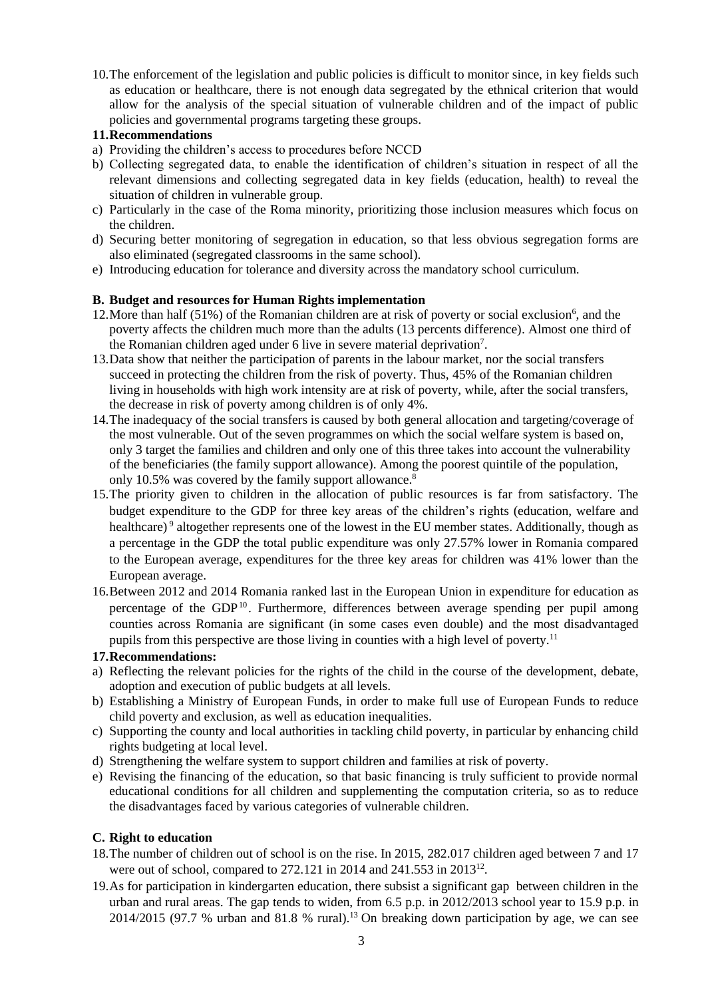10.The enforcement of the legislation and public policies is difficult to monitor since, in key fields such as education or healthcare, there is not enough data segregated by the ethnical criterion that would allow for the analysis of the special situation of vulnerable children and of the impact of public policies and governmental programs targeting these groups.

# **11.Recommendations**

- a) Providing the children's access to procedures before NCCD
- b) Collecting segregated data, to enable the identification of children's situation in respect of all the relevant dimensions and collecting segregated data in key fields (education, health) to reveal the situation of children in vulnerable group.
- c) Particularly in the case of the Roma minority, prioritizing those inclusion measures which focus on the children.
- d) Securing better monitoring of segregation in education, so that less obvious segregation forms are also eliminated (segregated classrooms in the same school).
- e) Introducing education for tolerance and diversity across the mandatory school curriculum.

# **B. Budget and resources for Human Rights implementation**

- 12. More than half  $(51%)$  of the Romanian children are at risk of poverty or social exclusion<sup>6</sup>, and the poverty affects the children much more than the adults (13 percents difference). Almost one third of the Romanian children aged under 6 live in severe material deprivation<sup>7</sup>.
- 13.Data show that neither the participation of parents in the labour market, nor the social transfers succeed in protecting the children from the risk of poverty. Thus, 45% of the Romanian children living in households with high work intensity are at risk of poverty, while, after the social transfers, the decrease in risk of poverty among children is of only 4%.
- 14.The inadequacy of the social transfers is caused by both general allocation and targeting/coverage of the most vulnerable. Out of the seven programmes on which the social welfare system is based on, only 3 target the families and children and only one of this three takes into account the vulnerability of the beneficiaries (the family support allowance). Among the poorest quintile of the population, only 10.5% was covered by the family support allowance.<sup>8</sup>
- 15.The priority given to children in the allocation of public resources is far from satisfactory. The budget expenditure to the GDP for three key areas of the children's rights (education, welfare and healthcare)<sup>9</sup> altogether represents one of the lowest in the EU member states. Additionally, though as a percentage in the GDP the total public expenditure was only 27.57% lower in Romania compared to the European average, expenditures for the three key areas for children was 41% lower than the European average.
- 16.Between 2012 and 2014 Romania ranked last in the European Union in expenditure for education as percentage of the GDP<sup>10</sup>. Furthermore, differences between average spending per pupil among counties across Romania are significant (in some cases even double) and the most disadvantaged pupils from this perspective are those living in counties with a high level of poverty.<sup>11</sup>

# **17.Recommendations:**

- a) Reflecting the relevant policies for the rights of the child in the course of the development, debate, adoption and execution of public budgets at all levels.
- b) Establishing a Ministry of European Funds, in order to make full use of European Funds to reduce child poverty and exclusion, as well as education inequalities.
- c) Supporting the county and local authorities in tackling child poverty, in particular by enhancing child rights budgeting at local level.
- d) Strengthening the welfare system to support children and families at risk of poverty.
- e) Revising the financing of the education, so that basic financing is truly sufficient to provide normal educational conditions for all children and supplementing the computation criteria, so as to reduce the disadvantages faced by various categories of vulnerable children.

# **C. Right to education**

- 18.The number of children out of school is on the rise. In 2015, 282.017 children aged between 7 and 17 were out of school, compared to 272.121 in 2014 and 241.553 in 2013<sup>12</sup>.
- 19.As for participation in kindergarten education, there subsist a significant gap between children in the urban and rural areas. The gap tends to widen, from 6.5 p.p. in 2012/2013 school year to 15.9 p.p. in 2014/2015 (97.7 % urban and 81.8 % rural).<sup>13</sup> On breaking down participation by age, we can see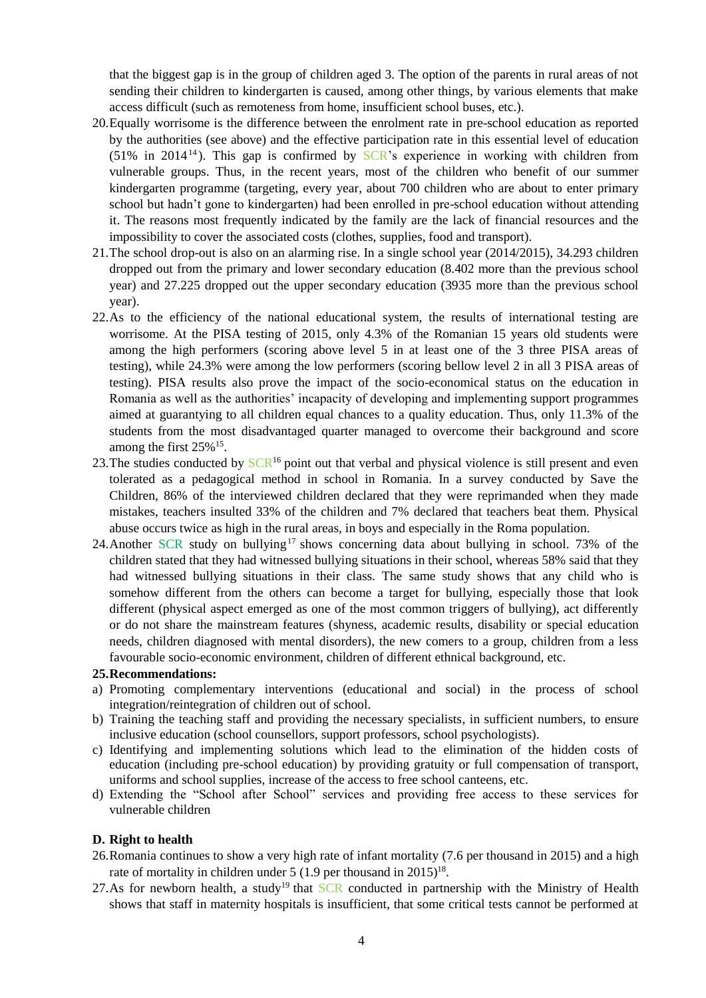that the biggest gap is in the group of children aged 3. The option of the parents in rural areas of not sending their children to kindergarten is caused, among other things, by various elements that make access difficult (such as remoteness from home, insufficient school buses, etc.).

- 20.Equally worrisome is the difference between the enrolment rate in pre-school education as reported by the authorities (see above) and the effective participation rate in this essential level of education  $(51\%$  in 2014<sup>14</sup>). This gap is confirmed by SCR's experience in working with children from vulnerable groups. Thus, in the recent years, most of the children who benefit of our summer kindergarten programme (targeting, every year, about 700 children who are about to enter primary school but hadn't gone to kindergarten) had been enrolled in pre-school education without attending it. The reasons most frequently indicated by the family are the lack of financial resources and the impossibility to cover the associated costs (clothes, supplies, food and transport).
- 21.The school drop-out is also on an alarming rise. In a single school year (2014/2015), 34.293 children dropped out from the primary and lower secondary education (8.402 more than the previous school year) and 27.225 dropped out the upper secondary education (3935 more than the previous school year).
- 22.As to the efficiency of the national educational system, the results of international testing are worrisome. At the PISA testing of 2015, only 4.3% of the Romanian 15 years old students were among the high performers (scoring above level 5 in at least one of the 3 three PISA areas of testing), while 24.3% were among the low performers (scoring bellow level 2 in all 3 PISA areas of testing). PISA results also prove the impact of the socio-economical status on the education in Romania as well as the authorities' incapacity of developing and implementing support programmes aimed at guarantying to all children equal chances to a quality education. Thus, only 11.3% of the students from the most disadvantaged quarter managed to overcome their background and score among the first  $25\%$ <sup>15</sup>.
- 23. The studies conducted by  $\mathcal{S} \mathbb{C} \mathbb{R}^{16}$  point out that verbal and physical violence is still present and even tolerated as a pedagogical method in school in Romania. In a survey conducted by Save the Children, 86% of the interviewed children declared that they were reprimanded when they made mistakes, teachers insulted 33% of the children and 7% declared that teachers beat them. Physical abuse occurs twice as high in the rural areas, in boys and especially in the Roma population.
- 24. Another SCR study on bullying<sup>17</sup> shows concerning data about bullying in school. 73% of the children stated that they had witnessed bullying situations in their school, whereas 58% said that they had witnessed bullying situations in their class. The same study shows that any child who is somehow different from the others can become a target for bullying, especially those that look different (physical aspect emerged as one of the most common triggers of bullying), act differently or do not share the mainstream features (shyness, academic results, disability or special education needs, children diagnosed with mental disorders), the new comers to a group, children from a less favourable socio-economic environment, children of different ethnical background, etc.

#### **25.Recommendations:**

- a) Promoting complementary interventions (educational and social) in the process of school integration/reintegration of children out of school.
- b) Training the teaching staff and providing the necessary specialists, in sufficient numbers, to ensure inclusive education (school counsellors, support professors, school psychologists).
- c) Identifying and implementing solutions which lead to the elimination of the hidden costs of education (including pre-school education) by providing gratuity or full compensation of transport, uniforms and school supplies, increase of the access to free school canteens, etc.
- d) Extending the "School after School" services and providing free access to these services for vulnerable children

### **D. Right to health**

- 26.Romania continues to show a very high rate of infant mortality (7.6 per thousand in 2015) and a high rate of mortality in children under  $5(1.9$  per thousand in  $2015)^{18}$ .
- 27.As for newborn health, a study<sup>19</sup> that  $SCR$  conducted in partnership with the Ministry of Health shows that staff in maternity hospitals is insufficient, that some critical tests cannot be performed at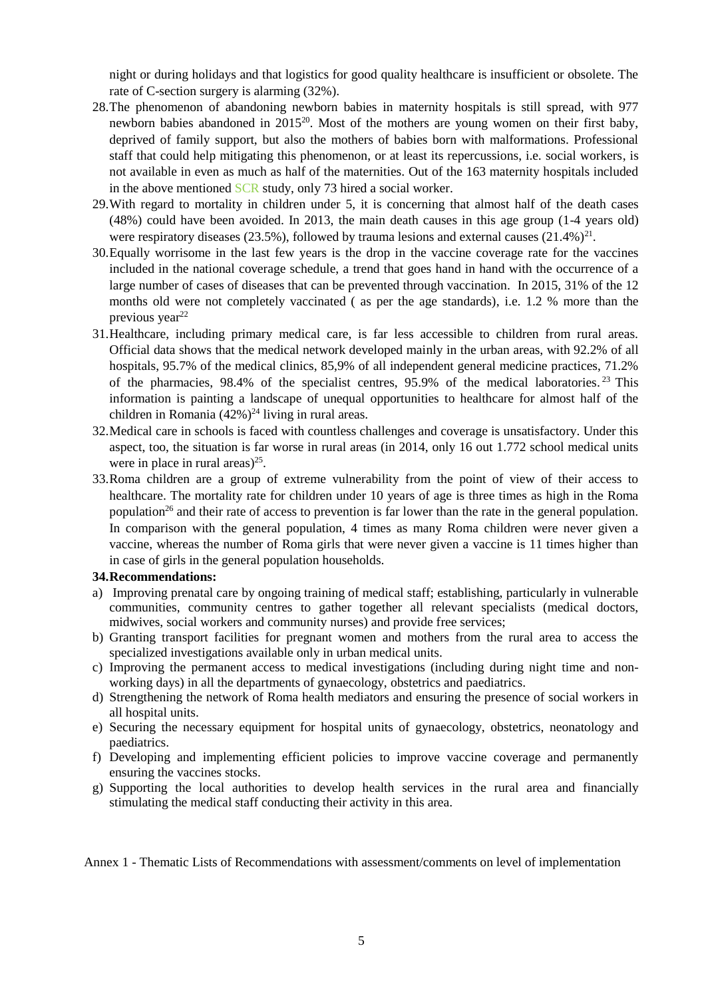night or during holidays and that logistics for good quality healthcare is insufficient or obsolete. The rate of C-section surgery is alarming (32%).

- 28.The phenomenon of abandoning newborn babies in maternity hospitals is still spread, with 977 newborn babies abandoned in 2015<sup>20</sup>. Most of the mothers are young women on their first baby, deprived of family support, but also the mothers of babies born with malformations. Professional staff that could help mitigating this phenomenon, or at least its repercussions, i.e. social workers, is not available in even as much as half of the maternities. Out of the 163 maternity hospitals included in the above mentioned SCR study, only 73 hired a social worker.
- 29.With regard to mortality in children under 5, it is concerning that almost half of the death cases (48%) could have been avoided. In 2013, the main death causes in this age group (1-4 years old) were respiratory diseases (23.5%), followed by trauma lesions and external causes  $(21.4%)^{21}$ .
- 30.Equally worrisome in the last few years is the drop in the vaccine coverage rate for the vaccines included in the national coverage schedule, a trend that goes hand in hand with the occurrence of a large number of cases of diseases that can be prevented through vaccination. In 2015, 31% of the 12 months old were not completely vaccinated ( as per the age standards), i.e. 1.2 % more than the previous year<sup>22</sup>
- 31.Healthcare, including primary medical care, is far less accessible to children from rural areas. Official data shows that the medical network developed mainly in the urban areas, with 92.2% of all hospitals, 95.7% of the medical clinics, 85,9% of all independent general medicine practices, 71.2% of the pharmacies, 98.4% of the specialist centres, 95.9% of the medical laboratories. <sup>23</sup> This information is painting a landscape of unequal opportunities to healthcare for almost half of the children in Romania  $(42\%)^{24}$  living in rural areas.
- 32.Medical care in schools is faced with countless challenges and coverage is unsatisfactory. Under this aspect, too, the situation is far worse in rural areas (in 2014, only 16 out 1.772 school medical units were in place in rural areas) $25$ .
- 33.Roma children are a group of extreme vulnerability from the point of view of their access to healthcare. The mortality rate for children under 10 years of age is three times as high in the Roma population<sup>26</sup> and their rate of access to prevention is far lower than the rate in the general population. In comparison with the general population, 4 times as many Roma children were never given a vaccine, whereas the number of Roma girls that were never given a vaccine is 11 times higher than in case of girls in the general population households.

#### **34.Recommendations:**

- a) Improving prenatal care by ongoing training of medical staff; establishing, particularly in vulnerable communities, community centres to gather together all relevant specialists (medical doctors, midwives, social workers and community nurses) and provide free services;
- b) Granting transport facilities for pregnant women and mothers from the rural area to access the specialized investigations available only in urban medical units.
- c) Improving the permanent access to medical investigations (including during night time and nonworking days) in all the departments of gynaecology, obstetrics and paediatrics.
- d) Strengthening the network of Roma health mediators and ensuring the presence of social workers in all hospital units.
- e) Securing the necessary equipment for hospital units of gynaecology, obstetrics, neonatology and paediatrics.
- f) Developing and implementing efficient policies to improve vaccine coverage and permanently ensuring the vaccines stocks.
- g) Supporting the local authorities to develop health services in the rural area and financially stimulating the medical staff conducting their activity in this area.

Annex 1 - Thematic Lists of Recommendations with assessment/comments on level of implementation